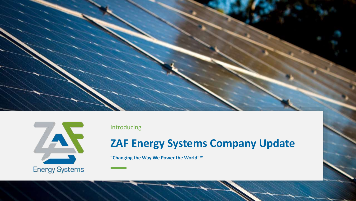



Introducing

## **ZAF Energy Systems Company Update**

**"Changing the Way We Power the World"™**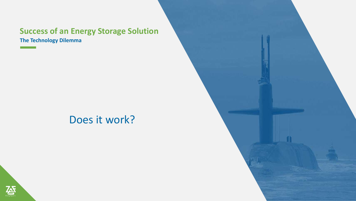### **Success of an Energy Storage Solution**

**The Technology Dilemma**

## Does it work?



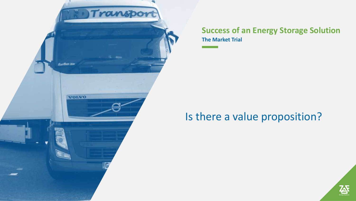

**The Market Trial Success of an Energy Storage Solution**

## Is there a value proposition?

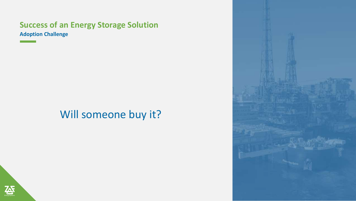#### **Adoption Challenge Success of an Energy Storage Solution**

Will someone buy it?



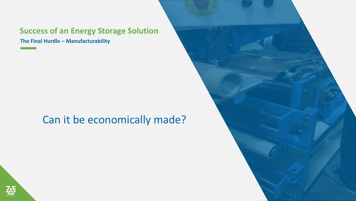#### **The Final Hurdle – Manufacturability Success of an Energy Storage Solution**

## Can it be economically made?



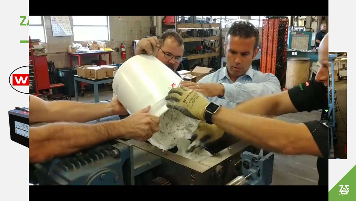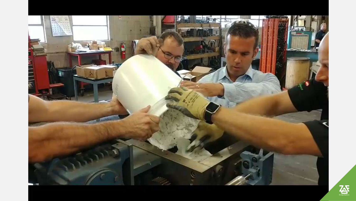

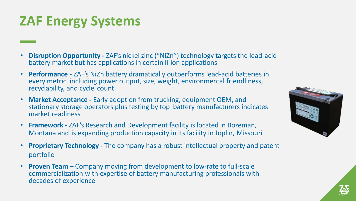# **ZAF Energy Systems**

- **Disruption Opportunity -** ZAF's nickel zinc ("NiZn") technology targets the lead-acid battery market but has applications in certain li-ion applications
- **Performance -** ZAF's NiZn battery dramatically outperforms lead-acid batteries in every metric including power output, size, weight, environmental friendliness, recyclability, and cycle count
- **Market Acceptance -** Early adoption from trucking, equipment OEM, and stationary storage operators plus testing by top battery manufacturers indicates market readiness
- **Framework -** ZAF's Research and Development facility is located in Bozeman, Montana and is expanding production capacity in its facility in Joplin, Missouri
- **Proprietary Technology -** The company has a robust intellectual property and patent portfolio
- **Proven Team –** Company moving from development to low-rate to full-scale commercialization with expertise of battery manufacturing professionals with decades of experience